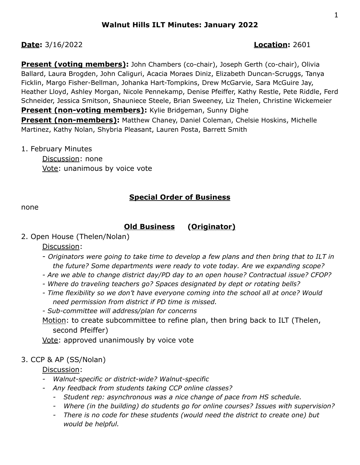## **Date:** 3/16/2022 **Location:** 2601

**Present (voting members):** John Chambers (co-chair), Joseph Gerth (co-chair), Olivia Ballard, Laura Brogden, John Caliguri, Acacia Moraes Diniz, Elizabeth Duncan-Scruggs, Tanya Ficklin, Margo Fisher-Bellman, Johanka Hart-Tompkins, Drew McGarvie, Sara McGuire Jay, Heather Lloyd, Ashley Morgan, Nicole Pennekamp, Denise Pfeiffer, Kathy Restle, Pete Riddle, Ferd Schneider, Jessica Smitson, Shauniece Steele, Brian Sweeney, Liz Thelen, Christine Wickemeier **Present (non-voting members):** Kylie Bridgeman, Sunny Dighe **Present (non-members):** Matthew Chaney, Daniel Coleman, Chelsie Hoskins, Michelle Martinez, Kathy Nolan, Shybria Pleasant, Lauren Posta, Barrett Smith

#### 1. February Minutes

Discussion: none Vote: unanimous by voice vote

## **Special Order of Business**

none

## **Old Business (Originator)**

2. Open House (Thelen/Nolan)

Discussion:

- *Originators were going to take time to develop a few plans and then bring that to ILT in the future? Some departments were ready to vote today. Are we expanding scope?*
- *- Are we able to change district day/PD day to an open house? Contractual issue? CFOP?*
- *- Where do traveling teachers go? Spaces designated by dept or rotating bells?*
- *- Time flexibility so we don't have everyone coming into the school all at once? Would need permission from district if PD time is missed.*

*- Sub-committee will address/plan for concerns*

Motion: to create subcommittee to refine plan, then bring back to ILT (Thelen, second Pfeiffer)

Vote: approved unanimously by voice vote

## 3. CCP & AP (SS/Nolan)

Discussion:

- *- Walnut-specific or district-wide? Walnut-specific*
- *- Any feedback from students taking CCP online classes?*
	- *- Student rep: asynchronous was a nice change of pace from HS schedule.*
	- *- Where (in the building) do students go for online courses? Issues with supervision?*
	- *- There is no code for these students (would need the district to create one) but would be helpful.*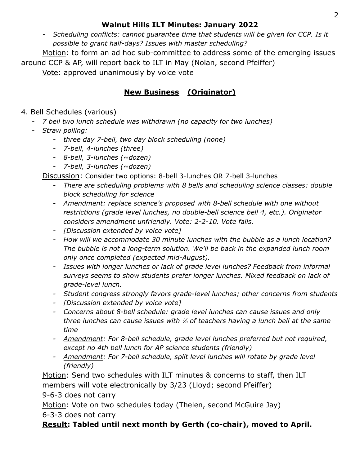## **Walnut Hills ILT Minutes: January 2022**

*- Scheduling conflicts: cannot guarantee time that students will be given for CCP. Is it possible to grant half-days? Issues with master scheduling?*

Motion: to form an ad hoc sub-committee to address some of the emerging issues around CCP & AP, will report back to ILT in May (Nolan, second Pfeiffer)

Vote: approved unanimously by voice vote

## **New Business (Originator)**

## 4. Bell Schedules (various)

- *- 7 bell two lunch schedule was withdrawn (no capacity for two lunches)*
- *- Straw polling:*
	- *- three day 7-bell, two day block scheduling (none)*
	- *- 7-bell, 4-lunches (three)*
	- *- 8-bell, 3-lunches (~dozen)*
	- *- 7-bell, 3-lunches (~dozen)*

Discussion: Consider two options: 8-bell 3-lunches OR 7-bell 3-lunches

- *- There are scheduling problems with 8 bells and scheduling science classes: double block scheduling for science*
- *- Amendment: replace science's proposed with 8-bell schedule with one without restrictions (grade level lunches, no double-bell science bell 4, etc.). Originator considers amendment unfriendly. Vote: 2-2-10. Vote fails.*
- *- [Discussion extended by voice vote]*
- *- How will we accommodate 30 minute lunches with the bubble as a lunch location? The bubble is not a long-term solution. We'll be back in the expanded lunch room only once completed (expected mid-August).*
- *- Issues with longer lunches or lack of grade level lunches? Feedback from informal surveys seems to show students prefer longer lunches. Mixed feedback on lack of grade-level lunch.*
- *- Student congress strongly favors grade-level lunches; other concerns from students*
- *- [Discussion extended by voice vote]*
- *- Concerns about 8-bell schedule: grade level lunches can cause issues and only three lunches can cause issues with ⅓ of teachers having a lunch bell at the same time*
- *- Amendment: For 8-bell schedule, grade level lunches preferred but not required, except no 4th bell lunch for AP science students (friendly)*
- *- Amendment: For 7-bell schedule, split level lunches will rotate by grade level (friendly)*

Motion: Send two schedules with ILT minutes & concerns to staff, then ILT members will vote electronically by 3/23 (Lloyd; second Pfeiffer)

9-6-3 does not carry

Motion: Vote on two schedules today (Thelen, second McGuire Jay) 6-3-3 does not carry

# **Result: Tabled until next month by Gerth (co-chair), moved to April.**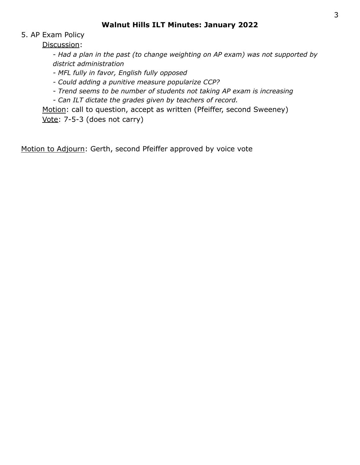## 5. AP Exam Policy

Discussion:

- *Had a plan in the past (to change weighting on AP exam) was not supported by district administration*

*- MFL fully in favor, English fully opposed*

*- Could adding a punitive measure popularize CCP?*

*- Trend seems to be number of students not taking AP exam is increasing*

*- Can ILT dictate the grades given by teachers of record.*

Motion: call to question, accept as written (Pfeiffer, second Sweeney) Vote: 7-5-3 (does not carry)

Motion to Adjourn: Gerth, second Pfeiffer approved by voice vote